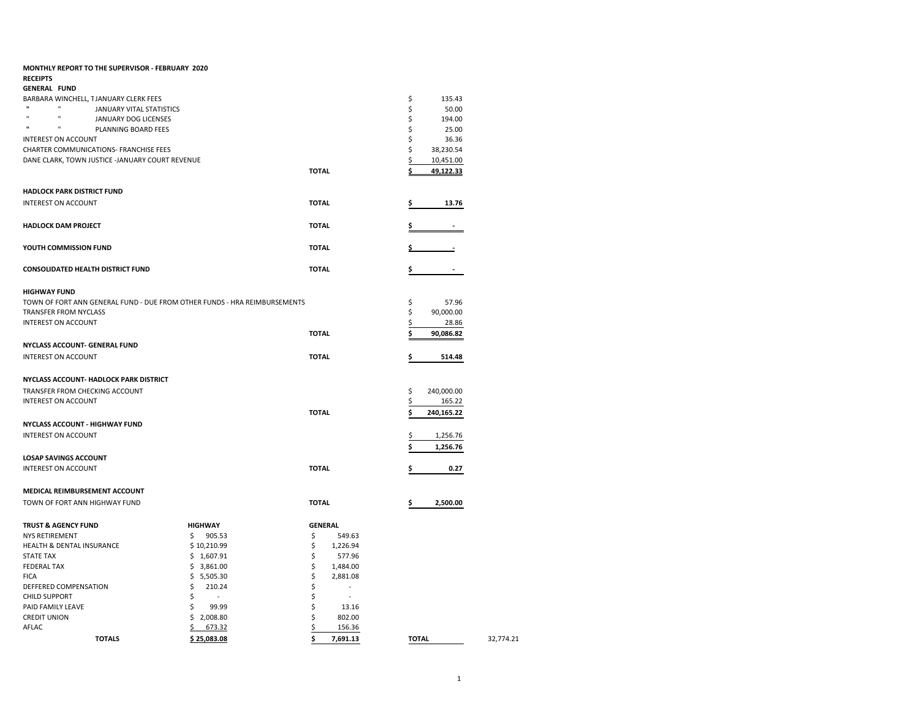| <b>MONTHLY REPORT TO THE SUPERVISOR - FEBRUARY 2020</b>                   |                |                            |                  |           |
|---------------------------------------------------------------------------|----------------|----------------------------|------------------|-----------|
| <b>RECEIPTS</b>                                                           |                |                            |                  |           |
| <b>GENERAL FUND</b>                                                       |                |                            |                  |           |
| BARBARA WINCHELL, TJANUARY CLERK FEES                                     |                |                            | \$<br>135.43     |           |
| $\mathbf{u}$<br><b>H</b><br>JANUARY VITAL STATISTICS                      |                |                            | \$<br>50.00      |           |
| JANUARY DOG LICENSES                                                      |                |                            | \$<br>194.00     |           |
| $\mathbf{u}$<br>$\mathbf{u}$<br>PLANNING BOARD FEES                       |                |                            | \$<br>25.00      |           |
| <b>INTEREST ON ACCOUNT</b>                                                |                |                            | \$<br>36.36      |           |
| CHARTER COMMUNICATIONS- FRANCHISE FEES                                    |                |                            | \$<br>38,230.54  |           |
| DANE CLARK, TOWN JUSTICE -JANUARY COURT REVENUE                           |                |                            | \$<br>10,451.00  |           |
|                                                                           |                | <b>TOTAL</b>               | 49,122.33        |           |
| HADLOCK PARK DISTRICT FUND                                                |                |                            |                  |           |
| <b>INTEREST ON ACCOUNT</b>                                                |                | <b>TOTAL</b>               | 13.76<br>\$      |           |
| <b>HADLOCK DAM PROJECT</b>                                                |                | <b>TOTAL</b>               |                  |           |
| YOUTH COMMISSION FUND                                                     |                | <b>TOTAL</b>               |                  |           |
| <b>CONSOLIDATED HEALTH DISTRICT FUND</b>                                  |                | <b>TOTAL</b>               | \$<br>$\sim$     |           |
| <b>HIGHWAY FUND</b>                                                       |                |                            |                  |           |
| TOWN OF FORT ANN GENERAL FUND - DUE FROM OTHER FUNDS - HRA REIMBURSEMENTS |                |                            | \$<br>57.96      |           |
| TRANSFER FROM NYCLASS                                                     |                |                            | \$<br>90,000.00  |           |
| <b>INTEREST ON ACCOUNT</b>                                                |                |                            | \$<br>28.86      |           |
|                                                                           |                | <b>TOTAL</b>               | \$<br>90,086.82  |           |
| NYCLASS ACCOUNT- GENERAL FUND                                             |                |                            |                  |           |
| <b>INTEREST ON ACCOUNT</b>                                                |                | <b>TOTAL</b>               | \$<br>514.48     |           |
| NYCLASS ACCOUNT- HADLOCK PARK DISTRICT                                    |                |                            |                  |           |
| TRANSFER FROM CHECKING ACCOUNT                                            |                |                            | \$<br>240,000.00 |           |
| INTEREST ON ACCOUNT                                                       |                |                            | \$<br>165.22     |           |
|                                                                           |                |                            |                  |           |
|                                                                           |                | <b>TOTAL</b>               | \$<br>240,165.22 |           |
| <b>NYCLASS ACCOUNT - HIGHWAY FUND</b>                                     |                |                            |                  |           |
| <b>INTEREST ON ACCOUNT</b>                                                |                |                            | \$<br>1,256.76   |           |
|                                                                           |                |                            | \$<br>1,256.76   |           |
| <b>LOSAP SAVINGS ACCOUNT</b>                                              |                |                            |                  |           |
| <b>INTEREST ON ACCOUNT</b>                                                |                | <b>TOTAL</b>               | \$<br>0.27       |           |
| MEDICAL REIMBURSEMENT ACCOUNT                                             |                |                            |                  |           |
| TOWN OF FORT ANN HIGHWAY FUND                                             |                | <b>TOTAL</b>               | 2,500.00<br>\$   |           |
| <b>TRUST &amp; AGENCY FUND</b>                                            | <b>HIGHWAY</b> | <b>GENERAL</b>             |                  |           |
| <b>NYS RETIREMENT</b>                                                     | 905.53<br>\$   | \$<br>549.63               |                  |           |
| HEALTH & DENTAL INSURANCE                                                 | \$10,210.99    | \$<br>1,226.94             |                  |           |
| STATE TAX                                                                 | \$1,607.91     | \$<br>577.96               |                  |           |
| <b>FEDERAL TAX</b>                                                        | \$3,861.00     | \$<br>1,484.00             |                  |           |
| <b>FICA</b>                                                               | \$5,505.30     | \$<br>2,881.08             |                  |           |
| DEFFERED COMPENSATION                                                     | \$<br>210.24   | \$<br>$\ddot{\phantom{1}}$ |                  |           |
| <b>CHILD SUPPORT</b>                                                      | \$             | \$<br>$\sim$               |                  |           |
| PAID FAMILY LEAVE                                                         | \$<br>99.99    | \$<br>13.16                |                  |           |
| <b>CREDIT UNION</b>                                                       | \$2,008.80     | \$<br>802.00               |                  |           |
| AFLAC                                                                     | 673.32<br>\$   | \$<br>156.36               |                  |           |
| <b>TOTALS</b>                                                             | \$25,083.08    | \$<br>7,691.13             | <b>TOTAL</b>     | 32,774.21 |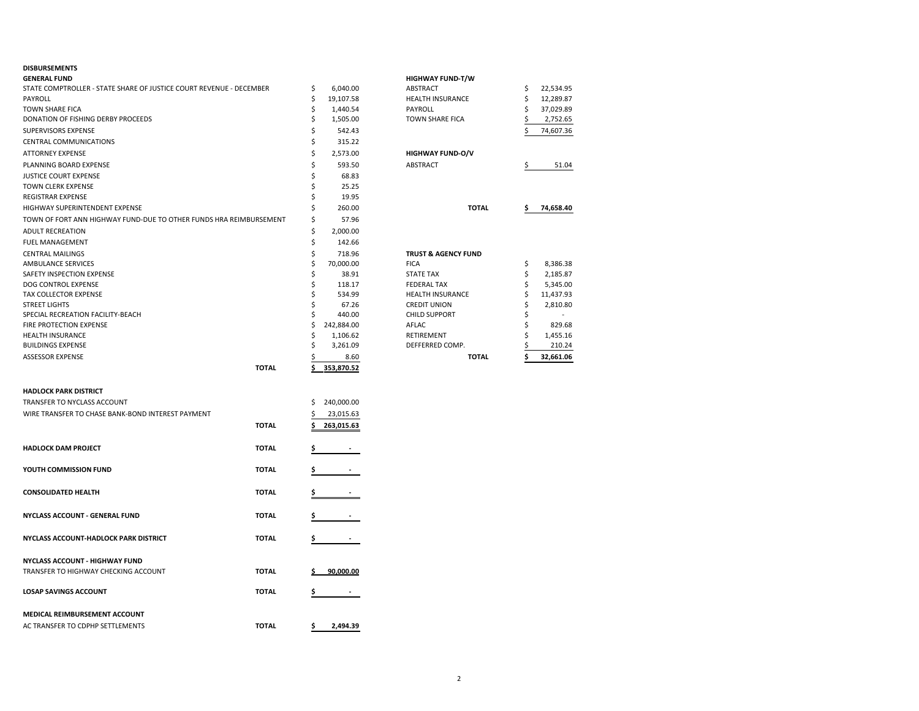### **DISBURSEMENTS**

| <b>GENERAL FUND</b>                                                 |              |          |                     | <b>HIGHWAY FUND-T/W</b>                       |          |                      |
|---------------------------------------------------------------------|--------------|----------|---------------------|-----------------------------------------------|----------|----------------------|
| STATE COMPTROLLER - STATE SHARE OF JUSTICE COURT REVENUE - DECEMBER |              | \$       | 6,040.00            | ABSTRACT                                      | \$       | 22,534.95            |
| PAYROLL                                                             |              | \$       | 19,107.58           | HEALTH INSURANCE                              | \$       | 12,289.87            |
| <b>TOWN SHARE FICA</b>                                              |              | \$       | 1,440.54            | PAYROLL                                       | \$       | 37,029.89            |
| DONATION OF FISHING DERBY PROCEEDS                                  |              | \$       | 1,505.00            | TOWN SHARE FICA                               | \$       | 2,752.65             |
| SUPERVISORS EXPENSE                                                 |              | \$       | 542.43              |                                               | Ś        | 74,607.36            |
| CENTRAL COMMUNICATIONS                                              |              | \$       | 315.22              |                                               |          |                      |
| <b>ATTORNEY EXPENSE</b>                                             |              | \$       | 2,573.00            | <b>HIGHWAY FUND-O/V</b>                       |          |                      |
| PLANNING BOARD EXPENSE                                              |              | \$       | 593.50              | ABSTRACT                                      | \$       | 51.04                |
| <b>JUSTICE COURT EXPENSE</b>                                        |              | \$       | 68.83               |                                               |          |                      |
| <b>TOWN CLERK EXPENSE</b>                                           |              | \$       | 25.25               |                                               |          |                      |
| <b>REGISTRAR EXPENSE</b>                                            |              | Ś        | 19.95               |                                               |          |                      |
| HIGHWAY SUPERINTENDENT EXPENSE                                      |              | \$       | 260.00              | <b>TOTAL</b>                                  | \$       | 74,658.40            |
| TOWN OF FORT ANN HIGHWAY FUND-DUE TO OTHER FUNDS HRA REIMBURSEMENT  |              | \$       | 57.96               |                                               |          |                      |
| <b>ADULT RECREATION</b>                                             |              | \$       | 2,000.00            |                                               |          |                      |
|                                                                     |              | \$       | 142.66              |                                               |          |                      |
| <b>FUEL MANAGEMENT</b>                                              |              |          |                     |                                               |          |                      |
| <b>CENTRAL MAILINGS</b>                                             |              | \$<br>\$ | 718.96<br>70,000.00 | <b>TRUST &amp; AGENCY FUND</b><br><b>FICA</b> |          | 8,386.38             |
| <b>AMBULANCE SERVICES</b>                                           |              | \$       |                     |                                               | \$<br>\$ |                      |
| SAFETY INSPECTION EXPENSE<br>DOG CONTROL EXPENSE                    |              | \$       | 38.91<br>118.17     | <b>STATE TAX</b><br><b>FEDERAL TAX</b>        | \$       | 2,185.87<br>5,345.00 |
| TAX COLLECTOR EXPENSE                                               |              | \$       | 534.99              | <b>HEALTH INSURANCE</b>                       | \$       | 11,437.93            |
| <b>STREET LIGHTS</b>                                                |              | \$       | 67.26               | <b>CREDIT UNION</b>                           | \$       | 2,810.80             |
| SPECIAL RECREATION FACILITY-BEACH                                   |              | Ś        | 440.00              | <b>CHILD SUPPORT</b>                          | \$       |                      |
| FIRE PROTECTION EXPENSE                                             |              | \$       | 242,884.00          | AFLAC                                         | \$       | 829.68               |
| <b>HEALTH INSURANCE</b>                                             |              | \$       | 1,106.62            | RETIREMENT                                    | \$       | 1,455.16             |
| <b>BUILDINGS EXPENSE</b>                                            |              | Ś        | 3,261.09            | DEFFERRED COMP.                               | \$       | 210.24               |
| <b>ASSESSOR EXPENSE</b>                                             |              | \$       | 8.60                | <b>TOTAL</b>                                  | Ś        | 32,661.06            |
|                                                                     | <b>TOTAL</b> |          | 353,870.52          |                                               |          |                      |
|                                                                     |              |          |                     |                                               |          |                      |
| <b>HADLOCK PARK DISTRICT</b>                                        |              |          |                     |                                               |          |                      |
| TRANSFER TO NYCLASS ACCOUNT                                         |              | \$       | 240,000.00          |                                               |          |                      |
| WIRE TRANSFER TO CHASE BANK-BOND INTEREST PAYMENT                   |              | \$       | 23,015.63           |                                               |          |                      |
|                                                                     | <b>TOTAL</b> | Ś        | 263,015.63          |                                               |          |                      |
| <b>HADLOCK DAM PROJECT</b>                                          | <b>TOTAL</b> |          |                     |                                               |          |                      |
|                                                                     |              |          |                     |                                               |          |                      |
| YOUTH COMMISSION FUND                                               | <b>TOTAL</b> |          |                     |                                               |          |                      |
| <b>CONSOLIDATED HEALTH</b>                                          | <b>TOTAL</b> |          |                     |                                               |          |                      |
|                                                                     |              |          |                     |                                               |          |                      |
| NYCLASS ACCOUNT - GENERAL FUND                                      | <b>TOTAL</b> | \$       |                     |                                               |          |                      |
|                                                                     |              |          |                     |                                               |          |                      |
| NYCLASS ACCOUNT-HADLOCK PARK DISTRICT                               | <b>TOTAL</b> |          |                     |                                               |          |                      |
| <b>NYCLASS ACCOUNT - HIGHWAY FUND</b>                               |              |          |                     |                                               |          |                      |
| TRANSFER TO HIGHWAY CHECKING ACCOUNT                                | <b>TOTAL</b> |          | 90,000.00           |                                               |          |                      |
| <b>LOSAP SAVINGS ACCOUNT</b>                                        | <b>TOTAL</b> | \$       |                     |                                               |          |                      |
| <b>MEDICAL REIMBURSEMENT ACCOUNT</b>                                |              |          |                     |                                               |          |                      |
|                                                                     |              |          |                     |                                               |          |                      |
| AC TRANSFER TO CDPHP SETTLEMENTS                                    | <b>TOTAL</b> | \$       | 2,494.39            |                                               |          |                      |